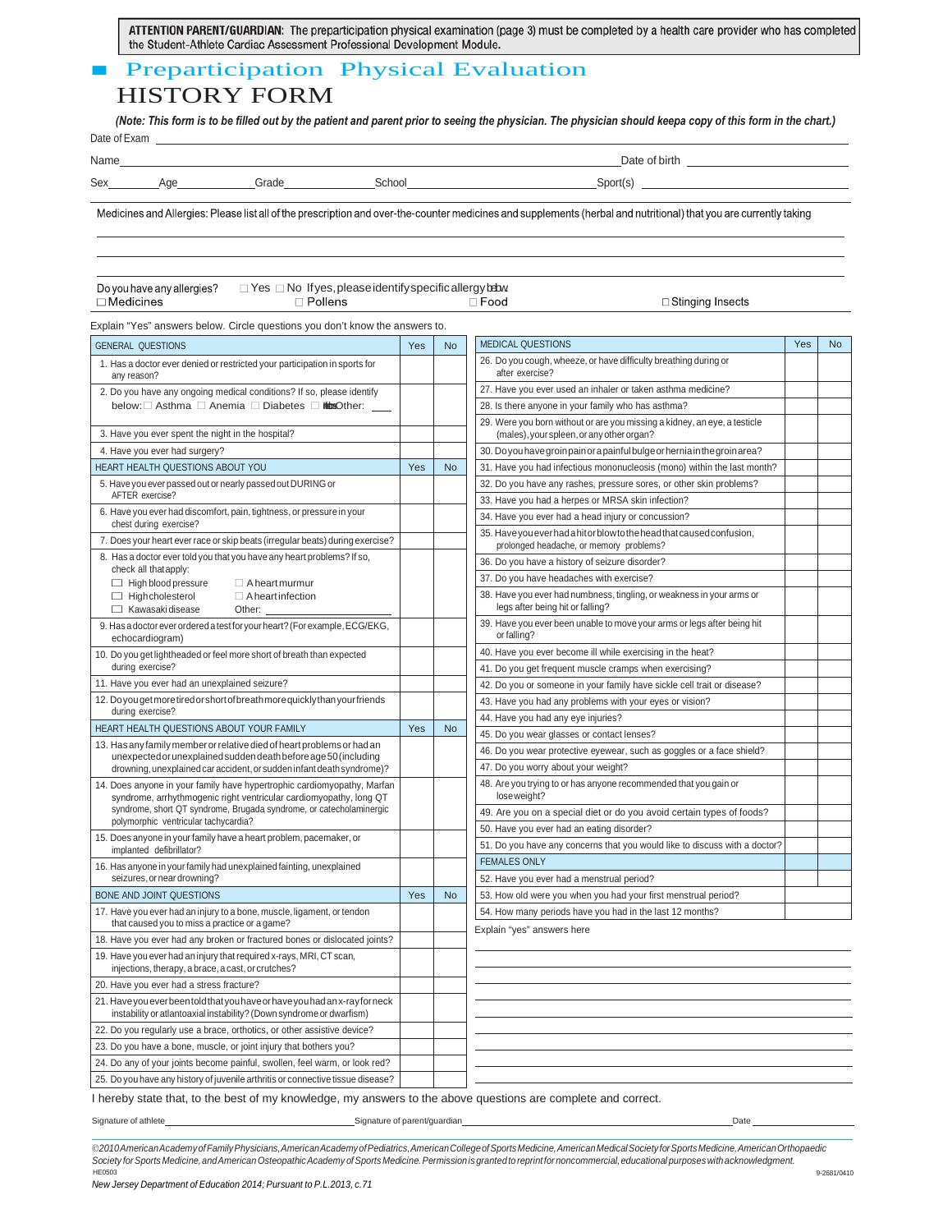ATTENTION PARENT/GUARDIAN: The preparticipation physical examination (page 3) must be completed by a health care provider who has completed the Student-Athlete Cardiac Assessment Professional Development Module.

### ■ Preparticipation Physical Evaluation HISTORY FORM

*(Note: This form is to be filled out by the patient and parent prior to seeing the physician. The physician should keepa copy of this form in the chart.)* Date of Exam

| Name |     |        |       | Date <sup>2</sup><br>of birth |  |  |
|------|-----|--------|-------|-------------------------------|--|--|
| Sex  | Aut | aradeد | Schoo | port(sذ                       |  |  |

Medicines and Allergies: Please list all of the prescription and over-the-counter medicines and supplements (herbal and nutritional) that you are currently taking

| Do you have any allergies? |  |
|----------------------------|--|
| $\Box$ Medicines           |  |

 $\Box$  Yes  $\Box$  No Ifyes, please identify specific allergy below.  $\Box$  Pollens  $\Box$  Food

□ Stinging Insects

Explain "Yes" answers below. Circle questions you don't know the answers to.

| <b>GENERAL QUESTIONS</b>                                                                                                                            | Yes | <b>No</b> | <b>MEDICAL QUESTIONS</b>                                                                                               | Yes | <b>No</b> |
|-----------------------------------------------------------------------------------------------------------------------------------------------------|-----|-----------|------------------------------------------------------------------------------------------------------------------------|-----|-----------|
| 1. Has a doctor ever denied or restricted your participation in sports for<br>any reason?                                                           |     |           | 26. Do you cough, wheeze, or have difficulty breathing during or<br>after exercise?                                    |     |           |
| 2. Do you have any ongoing medical conditions? If so, please identify                                                                               |     |           | 27. Have you ever used an inhaler or taken asthma medicine?                                                            |     |           |
| below: Asthma a Anemia Diabetes inturaOther:                                                                                                        |     |           | 28. Is there anyone in your family who has asthma?                                                                     |     |           |
| 3. Have you ever spent the night in the hospital?                                                                                                   |     |           | 29. Were you born without or are you missing a kidney, an eye, a testicle<br>(males), your spleen, or any other organ? |     |           |
| 4. Have you ever had surgery?                                                                                                                       |     |           | 30. Do you have groin pain or a painful bulge or hernia in the groin area?                                             |     |           |
| HEART HEALTH QUESTIONS ABOUT YOU                                                                                                                    | Yes | <b>No</b> | 31. Have you had infectious mononucleosis (mono) within the last month?                                                |     |           |
| 5. Have you ever passed out or nearly passed out DURING or                                                                                          |     |           | 32. Do you have any rashes, pressure sores, or other skin problems?                                                    |     |           |
| AFTER exercise?                                                                                                                                     |     |           | 33. Have you had a herpes or MRSA skin infection?                                                                      |     |           |
| 6. Have you ever had discomfort, pain, tightness, or pressure in your<br>chest during exercise?                                                     |     |           | 34. Have you ever had a head injury or concussion?                                                                     |     |           |
| 7. Does your heart ever race or skip beats (irregular beats) during exercise?                                                                       |     |           | 35. Have you ever had a hit or blow to the head that caused confusion,<br>prolonged headache, or memory problems?      |     |           |
| 8. Has a doctor ever told you that you have any heart problems? If so,                                                                              |     |           | 36. Do you have a history of seizure disorder?                                                                         |     |           |
| check all that apply:<br>$\Box$ High blood pressure<br>$\Box$ A heart murmur                                                                        |     |           | 37. Do you have headaches with exercise?                                                                               |     |           |
| $\Box$ High cholesterol<br>$\Box$ A heart infection<br>Kawasaki disease<br>Other:                                                                   |     |           | 38. Have you ever had numbness, tingling, or weakness in your arms or<br>legs after being hit or falling?              |     |           |
| 9. Has a doctor ever ordered a test for your heart? (For example, ECG/EKG,<br>echocardiogram)                                                       |     |           | 39. Have you ever been unable to move your arms or legs after being hit<br>or falling?                                 |     |           |
| 10. Do you get lightheaded or feel more short of breath than expected                                                                               |     |           | 40. Have you ever become ill while exercising in the heat?                                                             |     |           |
| during exercise?                                                                                                                                    |     |           | 41. Do you get frequent muscle cramps when exercising?                                                                 |     |           |
| 11. Have you ever had an unexplained seizure?                                                                                                       |     |           | 42. Do you or someone in your family have sickle cell trait or disease?                                                |     |           |
| 12. Do you get more tired or short of breath more quickly than your friends                                                                         |     |           | 43. Have you had any problems with your eyes or vision?                                                                |     |           |
| during exercise?                                                                                                                                    |     |           | 44. Have you had any eye injuries?                                                                                     |     |           |
| HEART HEALTH QUESTIONS ABOUT YOUR FAMILY                                                                                                            | Yes | <b>No</b> | 45. Do you wear glasses or contact lenses?                                                                             |     |           |
| 13. Has any family member or relative died of heart problems or had an<br>unexpected or unexplained sudden death before age 50 (including           |     |           | 46. Do you wear protective eyewear, such as goggles or a face shield?                                                  |     |           |
| drowning, unexplained car accident, or sudden infant death syndrome)?                                                                               |     |           | 47. Do you worry about your weight?                                                                                    |     |           |
| 14. Does anyone in your family have hypertrophic cardiomyopathy, Marfan<br>syndrome, arrhythmogenic right ventricular cardiomyopathy, long QT       |     |           | 48. Are you trying to or has anyone recommended that you gain or<br>loseweight?                                        |     |           |
| syndrome, short QT syndrome, Brugada syndrome, or catecholaminergic<br>polymorphic ventricular tachycardia?                                         |     |           | 49. Are you on a special diet or do you avoid certain types of foods?                                                  |     |           |
| 15. Does anyone in your family have a heart problem, pacemaker, or                                                                                  |     |           | 50. Have you ever had an eating disorder?                                                                              |     |           |
| implanted defibrillator?                                                                                                                            |     |           | 51. Do you have any concerns that you would like to discuss with a doctor?                                             |     |           |
| 16. Has anyone in your family had unexplained fainting, unexplained                                                                                 |     |           | <b>FEMALES ONLY</b>                                                                                                    |     |           |
| seizures, or near drowning?                                                                                                                         |     |           | 52. Have you ever had a menstrual period?                                                                              |     |           |
| <b>BONE AND JOINT QUESTIONS</b>                                                                                                                     | Yes | <b>No</b> | 53. How old were you when you had your first menstrual period?                                                         |     |           |
| 17. Have you ever had an injury to a bone, muscle, ligament, or tendon<br>that caused you to miss a practice or a game?                             |     |           | 54. How many periods have you had in the last 12 months?<br>Explain "yes" answers here                                 |     |           |
| 18. Have you ever had any broken or fractured bones or dislocated joints?                                                                           |     |           |                                                                                                                        |     |           |
| 19. Have you ever had an injury that required x-rays, MRI, CT scan,<br>injections, therapy, a brace, a cast, or crutches?                           |     |           |                                                                                                                        |     |           |
| 20. Have you ever had a stress fracture?                                                                                                            |     |           |                                                                                                                        |     |           |
| 21. Have you ever been told that you have or have you had an x-ray for neck<br>instability or atlantoaxial instability? (Down syndrome or dwarfism) |     |           |                                                                                                                        |     |           |
| 22. Do you regularly use a brace, orthotics, or other assistive device?                                                                             |     |           |                                                                                                                        |     |           |
| 23. Do you have a bone, muscle, or joint injury that bothers you?                                                                                   |     |           |                                                                                                                        |     |           |
| 24. Do any of your joints become painful, swollen, feel warm, or look red?                                                                          |     |           |                                                                                                                        |     |           |
| 25. Do you have any history of juvenile arthritis or connective tissue disease?                                                                     |     |           |                                                                                                                        |     |           |

I hereby state that, to the best of my knowledge, my answers to the above questions are complete and correct.

Signature of athlete Signature of parent/guardian Date

©*2010AmericanAcademyofFamilyPhysicians,AmericanAcademyofPediatrics,AmericanCollegeofSportsMedicine,AmericanMedicalSocietyforSportsMedicine,AmericanOrthopaedic Society forSports Medicine,andAmericanOsteopathicAcademy ofSports Medicine.Permissionis grantedtoreprintfor noncommercial,educational purposeswithacknowledgment.* HE0503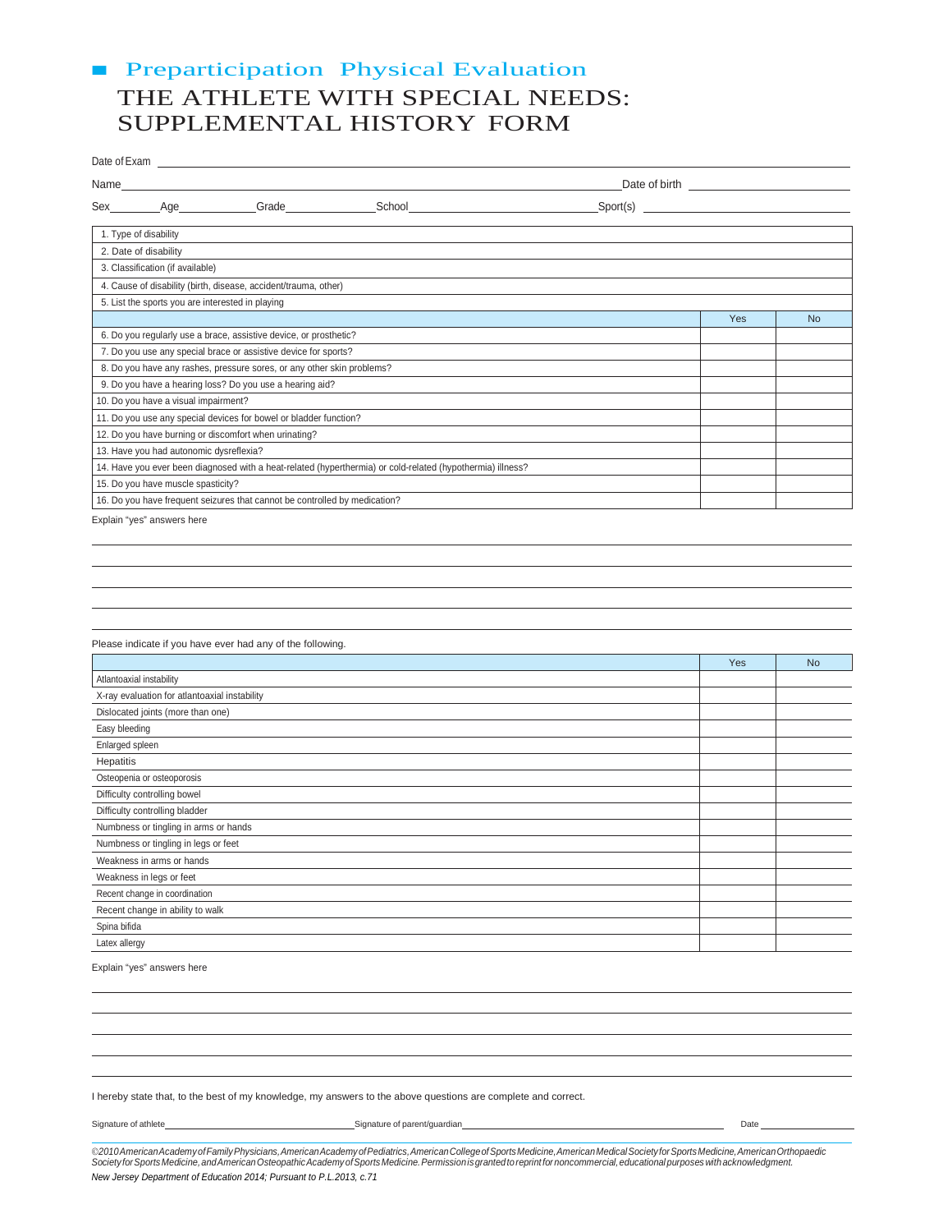## ■ Preparticipation Physical Evaluation THE ATHLETE WITH SPECIAL NEEDS: SUPPLEMENTAL HISTORY FORM

|                          | Date of Exam                                     |                                                                            |                                                                                                                                                                                                                                |                  |     |           |
|--------------------------|--------------------------------------------------|----------------------------------------------------------------------------|--------------------------------------------------------------------------------------------------------------------------------------------------------------------------------------------------------------------------------|------------------|-----|-----------|
| Name                     |                                                  |                                                                            |                                                                                                                                                                                                                                | Date of birth    |     |           |
| Sex                      |                                                  | Age Grade                                                                  | School and the state of the state of the state of the state of the state of the state of the state of the state of the state of the state of the state of the state of the state of the state of the state of the state of the | $\text{Spot(s)}$ |     |           |
|                          | 1. Type of disability                            |                                                                            |                                                                                                                                                                                                                                |                  |     |           |
|                          | 2. Date of disability                            |                                                                            |                                                                                                                                                                                                                                |                  |     |           |
|                          | 3. Classification (if available)                 |                                                                            |                                                                                                                                                                                                                                |                  |     |           |
|                          |                                                  | 4. Cause of disability (birth, disease, accident/trauma, other)            |                                                                                                                                                                                                                                |                  |     |           |
|                          | 5. List the sports you are interested in playing |                                                                            |                                                                                                                                                                                                                                |                  |     |           |
|                          |                                                  |                                                                            |                                                                                                                                                                                                                                |                  | Yes | <b>No</b> |
|                          |                                                  | 6. Do you regularly use a brace, assistive device, or prosthetic?          |                                                                                                                                                                                                                                |                  |     |           |
|                          |                                                  | 7. Do you use any special brace or assistive device for sports?            |                                                                                                                                                                                                                                |                  |     |           |
|                          |                                                  | 8. Do you have any rashes, pressure sores, or any other skin problems?     |                                                                                                                                                                                                                                |                  |     |           |
|                          |                                                  | 9. Do you have a hearing loss? Do you use a hearing aid?                   |                                                                                                                                                                                                                                |                  |     |           |
|                          | 10. Do you have a visual impairment?             |                                                                            |                                                                                                                                                                                                                                |                  |     |           |
|                          |                                                  | 11. Do you use any special devices for bowel or bladder function?          |                                                                                                                                                                                                                                |                  |     |           |
|                          |                                                  | 12. Do you have burning or discomfort when urinating?                      |                                                                                                                                                                                                                                |                  |     |           |
|                          | 13. Have you had autonomic dysreflexia?          |                                                                            |                                                                                                                                                                                                                                |                  |     |           |
|                          |                                                  |                                                                            | 14. Have you ever been diagnosed with a heat-related (hyperthermia) or cold-related (hypothermia) illness?                                                                                                                     |                  |     |           |
|                          | 15. Do you have muscle spasticity?               |                                                                            |                                                                                                                                                                                                                                |                  |     |           |
|                          |                                                  | 16. Do you have frequent seizures that cannot be controlled by medication? |                                                                                                                                                                                                                                |                  |     |           |
|                          | Explain "yes" answers here                       |                                                                            |                                                                                                                                                                                                                                |                  |     |           |
|                          |                                                  |                                                                            |                                                                                                                                                                                                                                |                  |     |           |
|                          |                                                  |                                                                            |                                                                                                                                                                                                                                |                  |     |           |
|                          |                                                  |                                                                            |                                                                                                                                                                                                                                |                  |     |           |
|                          |                                                  |                                                                            |                                                                                                                                                                                                                                |                  |     |           |
|                          |                                                  |                                                                            |                                                                                                                                                                                                                                |                  |     |           |
|                          |                                                  | Please indicate if you have ever had any of the following.                 |                                                                                                                                                                                                                                |                  |     |           |
|                          |                                                  |                                                                            |                                                                                                                                                                                                                                |                  | Yes | <b>No</b> |
| Atlantoaxial instability |                                                  |                                                                            |                                                                                                                                                                                                                                |                  |     |           |
|                          | X-ray evaluation for atlantoaxial instability    |                                                                            |                                                                                                                                                                                                                                |                  |     |           |
|                          | Dislocated joints (more than one)                |                                                                            |                                                                                                                                                                                                                                |                  |     |           |
| Easy bleeding            |                                                  |                                                                            |                                                                                                                                                                                                                                |                  |     |           |
| Enlarged spleen          |                                                  |                                                                            |                                                                                                                                                                                                                                |                  |     |           |
| Hepatitis                |                                                  |                                                                            |                                                                                                                                                                                                                                |                  |     |           |
|                          | Osteopenia or osteoporosis                       |                                                                            |                                                                                                                                                                                                                                |                  |     |           |
|                          | Difficulty controlling bowel                     |                                                                            |                                                                                                                                                                                                                                |                  |     |           |
|                          | Difficulty controlling bladder                   |                                                                            |                                                                                                                                                                                                                                |                  |     |           |
|                          | Numbness or tingling in arms or hands            |                                                                            |                                                                                                                                                                                                                                |                  |     |           |
|                          | Numbness or tingling in legs or feet             |                                                                            |                                                                                                                                                                                                                                |                  |     |           |
|                          | Weakness in arms or hands                        |                                                                            |                                                                                                                                                                                                                                |                  |     |           |
|                          | Weakness in legs or feet                         |                                                                            |                                                                                                                                                                                                                                |                  |     |           |
|                          | Recent change in coordination                    |                                                                            |                                                                                                                                                                                                                                |                  |     |           |
|                          | Recent change in ability to walk                 |                                                                            |                                                                                                                                                                                                                                |                  |     |           |

Explain "yes" answers here

Spina bifida Latex allergy

I hereby state that, to the best of my knowledge, my answers to the above questions are complete and correct.

Signature of athlete December 2021 Cate Signature of parent/guardian Date December 2021 Cate Date Date Date Date

©2010 American Academy of Family Physicians, American Academy of Pediatrics, American College of Sports Medicine, American Nedical Society for Sports Medicine, American Orthopaedic<br>Society for Sports Medicine, and American *New Jersey Department of Education 2014; Pursuant to P.L.2013, c.71*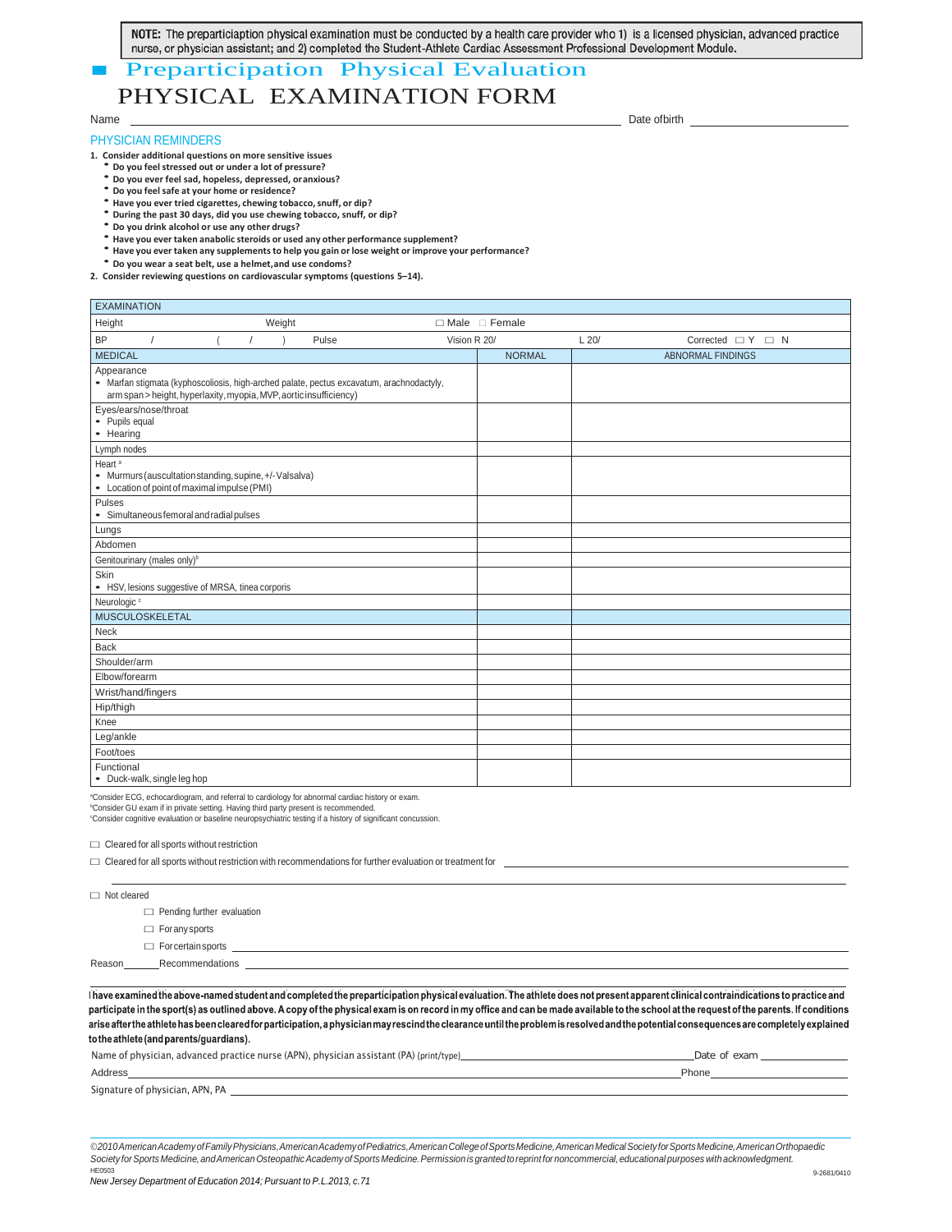NOTE: The preparticiaption physical examination must be conducted by a health care provider who 1) is a licensed physician, advanced practice

# **EXECUTE: A Preparticipation Physical Evaluation**<br>**Preparticipation Physical Evaluation** PHYSICAL EXAMINATION FORM

#### Name

#### PHYSICIAN REMINDERS

- 
- 
- 
- 
- 
- 
- 1. Consider additional questions on more sensitive issues<br>
Do you ever feel sad, hopeless, depressed, or anxious?<br>
Do you ever feel sad, hopeless, depressed, or anxious?<br>
Do you ever tried cigarettes, chewing tobacco
	- **Do you wear a seat belt, use a helmet,and use condoms?**
- **2. Consider reviewing questions on cardiovascular symptoms (questions 5–14).**

EXAMINATION Height **Desimale** Premaring Meight Neight → Design Male Designation Premaring Male Designation Premaring Male Designation Premaring Male Designation Premaring Male Designation Premaring Male Designation Premaring Male Des BP / ( / ) Pulse Vision R 20/ L 20/ Corrected □ Y □ N<br>MEDICAL ABNORMAL FINDINGS ABNORMAL FINDINGS Appearance • Marfan stigmata (kyphoscoliosis, high-arched palate, pectus excavatum, arachnodactyly, arm span > height, hyperlaxity, myopia, MVP, aortic insufficiency) Eyes/ears/nose/throat • Pupils equal • Hearing Lymph nodes Heart<sup>a</sup> • Murmurs(auscultationstanding,supine,+/-Valsalva) • Location of point of maximal impulse(PMI) Pulses • Simultaneousfemoralandradialpulses Lungs Abdomen Genitourinary (males only)<sup>b</sup> Skin • HSV, lesions suggestive of MRSA, tinea corporis Neurologic<sup>c</sup> MUSCULOSKELETAL Neck Back Shoulder/arm Elbow/forearm Wrist/hand/fingers Hip/thigh Knee Leg/ankle Foot/toes Functional

• Duck-walk, single leg hop

a Consider ECG, echocardiogram, and referral to cardiology for abnormal cardiac history or exam.

b Consider GU exam if in private setting. Having third party present is recommended. c Consider cognitive evaluation or baseline neuropsychiatric testing if a history of significant concussion.

 $\square$  Cleared for all sports without restriction

| $\Box$ Not cleared |                                   |  |  |
|--------------------|-----------------------------------|--|--|
|                    | $\Box$ Pending further evaluation |  |  |
|                    | $\Box$ For any sports             |  |  |
|                    | $\Box$ For certain sports         |  |  |
| Reason             | Recommendations                   |  |  |

I have examined the above-named student and completed the preparticipation physical evaluation. The athlete does not present apparent clinical contraindications to practice and participate in the sport(s) as outlined above. A copy of the physical exam is on record in my office and can be made available to the school at the request of the parents. If conditions arise after the athlete has been cleared for participation, a physician may rescind the clearance until the problem is resolved and the potential consequences are completely explaine

| Name of physician, advanced practice nurse (APN), physician assistant (PA) (print/type) | Date of exam |
|-----------------------------------------------------------------------------------------|--------------|
| Address                                                                                 | Phone        |
| Signature of physician, APN, PA                                                         |              |

©2010 American Academy of Family Physicians, American Academy of Pediatrics, American College of Sports Medicine, American Medical Society for Sports Medicine, American Orthopaedic *Society forSports Medicine,andAmericanOsteopathicAcademy ofSports Medicine.Permissionis grantedtoreprintfor noncommercial,educational purposeswithacknowledgment.* HE0503

Date ofbirth